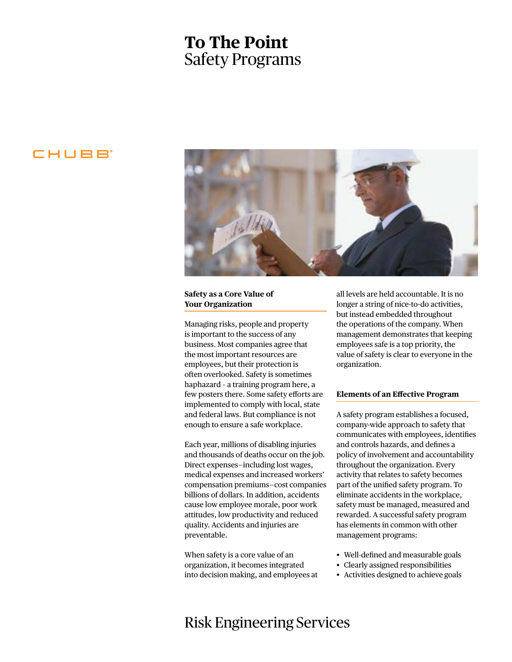# **To The Point** Safety Programs

### CHUBB



#### **Safety as a Core Value of Your Organization**

Managing risks, people and property is important to the success of any business. Most companies agree that the most important resources are employees, but their protection is often overlooked. Safety is sometimes haphazard – a training program here, a few posters there. Some safety efforts are implemented to comply with local, state and federal laws. But compliance is not enough to ensure a safe workplace.

Each year, millions of disabling injuries and thousands of deaths occur on the job. Direct expenses—including lost wages, medical expenses and increased workers' compensation premiums—cost companies billions of dollars. In addition, accidents cause low employee morale, poor work attitudes, low productivity and reduced quality. Accidents and injuries are preventable.

When safety is a core value of an organization, it becomes integrated into decision making, and employees at all levels are held accountable. It is no longer a string of nice-to-do activities, but instead embedded throughout the operations of the company. When management demonstrates that keeping employees safe is a top priority, the value of safety is clear to everyone in the organization.

#### **Elements of an Effective Program**

A safety program establishes a focused, company-wide approach to safety that communicates with employees, identifies and controls hazards, and defines a policy of involvement and accountability throughout the organization. Every activity that relates to safety becomes part of the unified safety program. To eliminate accidents in the workplace, safety must be managed, measured and rewarded. A successful safety program has elements in common with other management programs:

- Well-defined and measurable goals
- Clearly assigned responsibilities
- Activities designed to achieve goals

### Risk Engineering Services